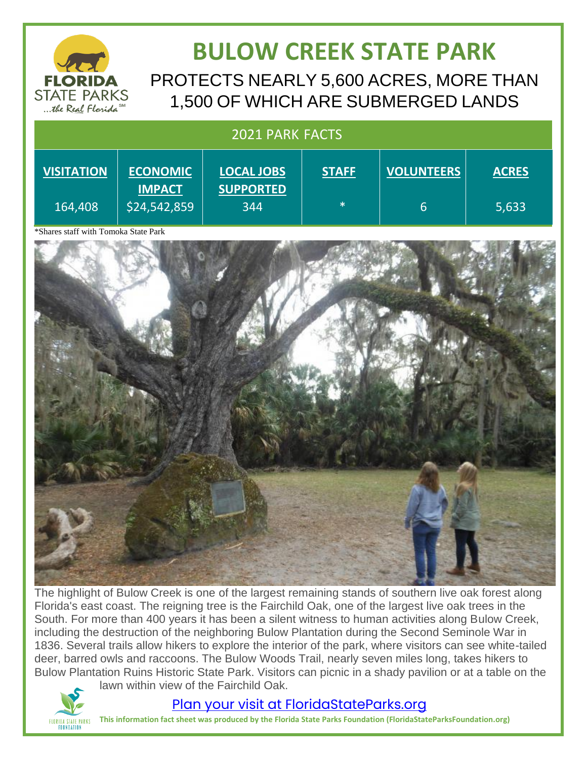

## **BULOW CREEK STATE PARK** PROTECTS NEARLY 5,600 ACRES, MORE THAN 1,500 OF WHICH ARE SUBMERGED LANDS

#### 2021 PARK FACTS **VISITATION** 164,408 **ECONOMIC IMPACT** \$24,542,859 **LOCAL JOBS SUPPORTED** 344 **STAFF** \* **VOLUNTEERS** 6 **ACRES** 5,633

\*Shares staff with Tomoka State Park



The highlight of Bulow Creek is one of the largest remaining stands of southern live oak forest along Florida's east coast. The reigning tree is the Fairchild Oak, one of the largest live oak trees in the South. For more than 400 years it has been a silent witness to human activities along Bulow Creek, including the destruction of the neighboring Bulow Plantation during the Second Seminole War in 1836. Several trails allow hikers to explore the interior of the park, where visitors can see white-tailed deer, barred owls and raccoons. The Bulow Woods Trail, nearly seven miles long, takes hikers to Bulow Plantation Ruins Historic State Park. Visitors can picnic in a shady pavilion or at a table on the lawn within view of the Fairchild Oak.



### [Plan your visit at FloridaStateParks.org](http://www.floridastateparks.org/)

**This information fact sheet was produced by the Florida State Parks Foundation (FloridaStateParksFoundation.org)**